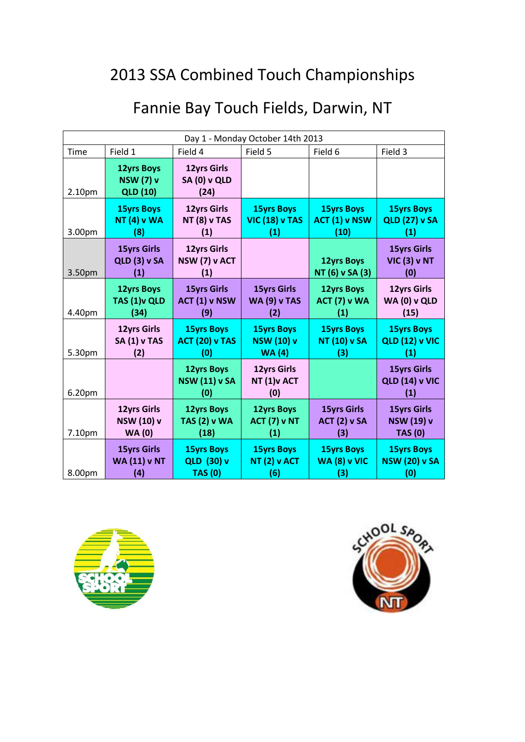| Day 1 - Monday October 14th 2013 |                                                          |                                                   |                                           |                                      |                                                    |
|----------------------------------|----------------------------------------------------------|---------------------------------------------------|-------------------------------------------|--------------------------------------|----------------------------------------------------|
| Time                             | Field 1                                                  | Field 4                                           | Field 5                                   | Field 6                              | Field 3                                            |
| 2.10pm                           | <b>12yrs Boys</b><br><b>NSW (7) v</b><br><b>QLD (10)</b> | <b>12yrs Girls</b><br><b>SA (0) v QLD</b><br>(24) |                                           |                                      |                                                    |
| 3.00pm                           | <b>15yrs Boys</b>                                        | <b>12yrs Girls</b>                                | <b>15yrs Boys</b>                         | <b>15yrs Boys</b>                    | <b>15yrs Boys</b>                                  |
|                                  | <b>NT (4) v WA</b>                                       | <b>NT (8) v TAS</b>                               | <b>VIC (18) v TAS</b>                     | ACT (1) v NSW                        | <b>QLD (27) v SA</b>                               |
|                                  | (8)                                                      | (1)                                               | (1)                                       | (10)                                 | (1)                                                |
| 3.50pm                           | <b>15yrs Girls</b><br><b>QLD (3) v SA</b><br>(1)         | <b>12yrs Girls</b><br>NSW (7) v ACT<br>(1)        |                                           | <b>12yrs Boys</b><br>NT (6) v SA (3) | <b>15yrs Girls</b><br><b>VIC (3) v NT</b><br>(0)   |
| 4.40pm                           | <b>12yrs Boys</b>                                        | <b>15yrs Girls</b>                                | <b>15yrs Girls</b>                        | <b>12yrs Boys</b>                    | <b>12yrs Girls</b>                                 |
|                                  | TAS (1) vQLD                                             | ACT (1) v NSW                                     | <b>WA (9) v TAS</b>                       | <b>ACT (7) v WA</b>                  | WA (0) v QLD                                       |
|                                  | (34)                                                     | (9)                                               | (2)                                       | (1)                                  | (15)                                               |
| 5.30pm                           | <b>12yrs Girls</b>                                       | <b>15yrs Boys</b>                                 | <b>15yrs Boys</b>                         | <b>15yrs Boys</b>                    | <b>15yrs Boys</b>                                  |
|                                  | <b>SA (1) v TAS</b>                                      | <b>ACT (20) v TAS</b>                             | <b>NSW (10) v</b>                         | <b>NT (10) v SA</b>                  | <b>QLD (12) v VIC</b>                              |
|                                  | (2)                                                      | (0)                                               | <b>WA (4)</b>                             | (3)                                  | (1)                                                |
| 6.20pm                           |                                                          | <b>12yrs Boys</b><br><b>NSW (11) v SA</b><br>(0)  | <b>12yrs Girls</b><br>NT (1) v ACT<br>(0) |                                      | <b>15yrs Girls</b><br><b>QLD (14) v VIC</b><br>(1) |
| 7.10pm                           | <b>12yrs Girls</b>                                       | <b>12yrs Boys</b>                                 | <b>12yrs Boys</b>                         | <b>15yrs Girls</b>                   | <b>15yrs Girls</b>                                 |
|                                  | <b>NSW (10) v</b>                                        | <b>TAS (2) v WA</b>                               | <b>ACT (7) v NT</b>                       | <b>ACT (2) v SA</b>                  | <b>NSW (19) v</b>                                  |
|                                  | <b>WA (0)</b>                                            | (18)                                              | (1)                                       | (3)                                  | <b>TAS (0)</b>                                     |
| 8.00pm                           | <b>15yrs Girls</b>                                       | <b>15yrs Boys</b>                                 | <b>15yrs Boys</b>                         | <b>15yrs Boys</b>                    | <b>15yrs Boys</b>                                  |
|                                  | <b>WA (11) v NT</b>                                      | <b>QLD (30) v</b>                                 | <b>NT (2) v ACT</b>                       | <b>WA (8) v VIC</b>                  | <b>NSW (20) v SA</b>                               |
|                                  | (4)                                                      | <b>TAS (0)</b>                                    | (6)                                       | (3)                                  | (0)                                                |



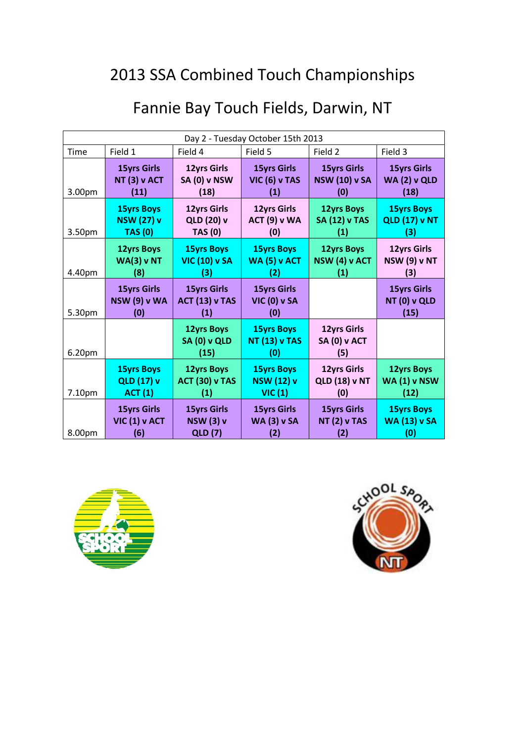|                                   |                                                   | , anno Day Touch Fictus, Daiwin, IVI              |                                            |                                                   |                                                   |
|-----------------------------------|---------------------------------------------------|---------------------------------------------------|--------------------------------------------|---------------------------------------------------|---------------------------------------------------|
| Day 2 - Tuesday October 15th 2013 |                                                   |                                                   |                                            |                                                   |                                                   |
| Time                              | Field 1                                           | Field 4                                           | Field 5                                    | Field 2                                           | Field 3                                           |
| 3.00 <sub>pm</sub>                | <b>15yrs Girls</b><br><b>NT (3) v ACT</b><br>(11) | <b>12yrs Girls</b><br><b>SA (0) v NSW</b><br>(18) | <b>15yrs Girls</b><br>VIC (6) v TAS<br>(1) | <b>15yrs Girls</b><br><b>NSW (10) v SA</b><br>(0) | <b>15yrs Girls</b><br><b>WA (2) v QLD</b><br>(18) |

**12yrs Girls ACT (9) v WA (0)**

**15yrs Boys WA (5) v ACT (2)**

**15yrs Girls VIC (0) v SA (0)**

**15yrs Boys NT (13) v TAS (0)**

**15yrs Boys NSW (12) v VIC (1)** 

**15yrs Girls WA (3) v SA (2)**

**12yrs Boys SA (12) v TAS (1)**

**12yrs Boys NSW (4) v ACT (1)**

**12yrs Girls SA (0) v ACT (5)**

**12yrs Girls QLD (18) v NT (0)**

**15yrs Girls NT (2) v TAS (2)** 

**15yrs Boys QLD (17) v NT (3)**

**12yrs Girls NSW (9) v NT (3)**

**15yrs Girls NT (0) v QLD (15)**

**12yrs Boys WA (1) v NSW (12)**

**15yrs Boys WA (13) v SA (0)** 

**12yrs Girls QLD (20) v TAS (0)**

**15yrs Boys VIC (10) v SA (3)**

**15yrs Girls ACT (13) v TAS (1)**

**12yrs Boys SA (0) v QLD (15)**

**12yrs Boys ACT (30) v TAS (1)**

> **15yrs Girls NSW (3) v QLD (7)**

#### Fannie Bay Touch Fields, Darwin, NT



3.50pm

4.40pm

5.30pm

6.20pm

7.10pm

8.00pm

**15yrs Boys NSW (27) v TAS (0)**

**12yrs Boys WA(3) v NT (8)**

**15yrs Girls NSW (9) v WA (0)**

> **15yrs Boys QLD (17) v ACT (1)**

**15yrs Girls VIC (1) v ACT (6)** 

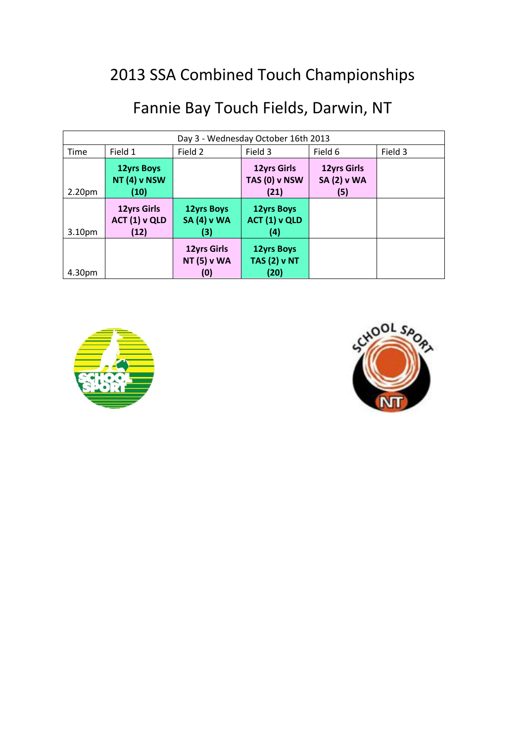| Day 3 - Wednesday October 16th 2013 |                                                  |                                                 |                                                         |                                                 |         |
|-------------------------------------|--------------------------------------------------|-------------------------------------------------|---------------------------------------------------------|-------------------------------------------------|---------|
| Time                                | Field 1                                          | Field 2                                         | Field 3                                                 | Field 6                                         | Field 3 |
| 2.20 <sub>pm</sub>                  | <b>12yrs Boys</b><br><b>NT (4) v NSW</b><br>(10) |                                                 | <b>12yrs Girls</b><br>TAS (0) v NSW<br>(21)             | <b>12yrs Girls</b><br><b>SA (2) v WA</b><br>(5) |         |
| 3.10 <sub>pm</sub>                  | <b>12yrs Girls</b><br>ACT (1) v QLD<br>(12)      | <b>12yrs Boys</b><br><b>SA (4) v WA</b><br>(3)  | <b>12yrs Boys</b><br>ACT (1) v QLD<br>$\left( 4\right)$ |                                                 |         |
| 4.30pm                              |                                                  | <b>12yrs Girls</b><br><b>NT (5) v WA</b><br>(0) | <b>12yrs Boys</b><br><b>TAS (2) v NT</b><br>(20)        |                                                 |         |



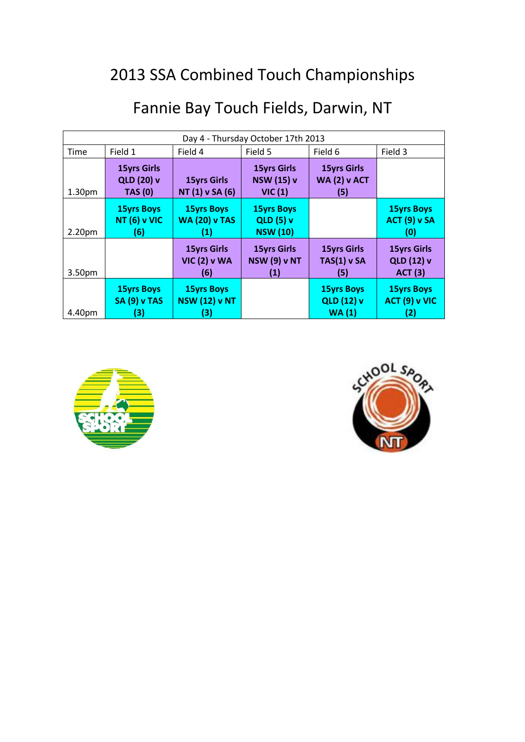| Day 4 - Thursday October 17th 2013 |                                                           |                                                  |                                                          |                                                  |                                                    |
|------------------------------------|-----------------------------------------------------------|--------------------------------------------------|----------------------------------------------------------|--------------------------------------------------|----------------------------------------------------|
| <b>Time</b>                        | Field 1                                                   | Field 4                                          | Field 5                                                  | Field 6                                          | Field 3                                            |
| 1.30 <sub>pm</sub>                 | <b>15yrs Girls</b><br><b>QLD (20) v</b><br><b>TAS (0)</b> | <b>15yrs Girls</b><br>NT (1) v SA (6)            | <b>15yrs Girls</b><br><b>NSW (15) v</b><br>VIC(1)        | <b>15yrs Girls</b><br><b>WA (2) v ACT</b><br>(5) |                                                    |
| 2.20 <sub>pm</sub>                 | <b>15yrs Boys</b><br><b>NT (6) v VIC</b><br>(6)           | <b>15yrs Boys</b><br><b>WA (20) v TAS</b><br>O   | <b>15yrs Boys</b><br><b>QLD (5) v</b><br><b>NSW</b> (10) |                                                  | <b>15yrs Boys</b><br><b>ACT (9) v SA</b><br>(0)    |
| 3.50pm                             |                                                           | <b>15yrs Girls</b><br><b>VIC (2) v WA</b><br>(6) | <b>15yrs Girls</b><br><b>NSW (9) v NT</b><br>(1)         | <b>15yrs Girls</b><br>$TAS(1)$ v SA<br>(5)       | <b>15yrs Girls</b><br>QLD (12) v<br><b>ACT (3)</b> |
| 4.40pm                             | <b>15yrs Boys</b><br><b>SA (9) v TAS</b><br>(3)           | <b>15yrs Boys</b><br><b>NSW (12) v NT</b><br>(3) |                                                          | <b>15yrs Boys</b><br><b>QLD (12) v</b><br>WA(1)  | <b>15yrs Boys</b><br>ACT (9) v VIC<br>(2)          |



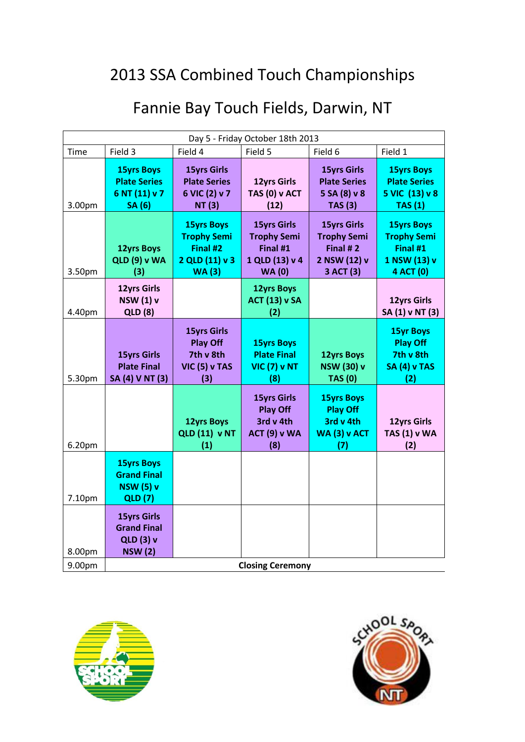| Fannie Bay Touch Fields, Darwin, NT |  |  |  |  |  |
|-------------------------------------|--|--|--|--|--|
|-------------------------------------|--|--|--|--|--|

| Day 5 - Friday October 18th 2013 |                                                                                |                                                                                       |                                                                                         |                                                                                   |                                                                                  |
|----------------------------------|--------------------------------------------------------------------------------|---------------------------------------------------------------------------------------|-----------------------------------------------------------------------------------------|-----------------------------------------------------------------------------------|----------------------------------------------------------------------------------|
| <b>Time</b>                      | Field 3                                                                        | Field 4                                                                               | Field 5                                                                                 | Field 6                                                                           | Field 1                                                                          |
| 3.00pm                           | <b>15yrs Boys</b><br><b>Plate Series</b><br>6 NT (11) v 7<br><b>SA</b> (6)     | <b>15yrs Girls</b><br><b>Plate Series</b><br>6 VIC (2) v 7<br><b>NT (3)</b>           | <b>12yrs Girls</b><br>TAS (0) v ACT<br>(12)                                             | <b>15yrs Girls</b><br><b>Plate Series</b><br>5 SA (8) v 8<br><b>TAS (3)</b>       | <b>15yrs Boys</b><br><b>Plate Series</b><br>5 VIC (13) v 8<br>TAS(1)             |
| 3.50pm                           | <b>12yrs Boys</b><br><b>QLD (9) v WA</b><br>(3)                                | <b>15yrs Boys</b><br><b>Trophy Semi</b><br>Final #2<br>2 QLD (11) v 3<br><b>WA(3)</b> | <b>15yrs Girls</b><br><b>Trophy Semi</b><br>Final #1<br>1 QLD (13) v 4<br><b>WA (0)</b> | <b>15yrs Girls</b><br><b>Trophy Semi</b><br>Final #2<br>2 NSW (12) v<br>3 ACT (3) | <b>15yrs Boys</b><br><b>Trophy Semi</b><br>Final #1<br>1 NSW (13) v<br>4 ACT (0) |
| 4.40pm                           | <b>12yrs Girls</b><br><b>NSW (1) v</b><br><b>QLD (8)</b>                       |                                                                                       | <b>12yrs Boys</b><br><b>ACT (13) v SA</b><br>(2)                                        |                                                                                   | 12yrs Girls<br>SA (1) v NT (3)                                                   |
| 5.30pm                           | <b>15yrs Girls</b><br><b>Plate Final</b><br>SA (4) V NT (3)                    | <b>15yrs Girls</b><br><b>Play Off</b><br>7th v 8th<br>VIC (5) v TAS<br>(3)            | <b>15yrs Boys</b><br><b>Plate Final</b><br><b>VIC (7) v NT</b><br>(8)                   | <b>12yrs Boys</b><br><b>NSW (30) v</b><br><b>TAS (0)</b>                          | <b>15yr Boys</b><br><b>Play Off</b><br>7th v 8th<br><b>SA (4) v TAS</b><br>(2)   |
| 6.20pm                           |                                                                                | <b>12yrs Boys</b><br><b>QLD (11) v NT</b><br>(1)                                      | <b>15yrs Girls</b><br><b>Play Off</b><br>3rd v 4th<br><b>ACT (9) v WA</b><br>(8)        | <b>15yrs Boys</b><br><b>Play Off</b><br>3rd v 4th<br><b>WA (3) v ACT</b><br>(7)   | <b>12yrs Girls</b><br><b>TAS (1) v WA</b><br>(2)                                 |
| 7.10pm                           | <b>15yrs Boys</b><br><b>Grand Final</b><br><b>NSW (5) v</b><br><b>QLD</b> (7)  |                                                                                       |                                                                                         |                                                                                   |                                                                                  |
| 8.00pm                           | <b>15yrs Girls</b><br><b>Grand Final</b><br><b>QLD (3) v</b><br><b>NSW (2)</b> |                                                                                       |                                                                                         |                                                                                   |                                                                                  |
| 9.00pm                           | <b>Closing Ceremony</b>                                                        |                                                                                       |                                                                                         |                                                                                   |                                                                                  |